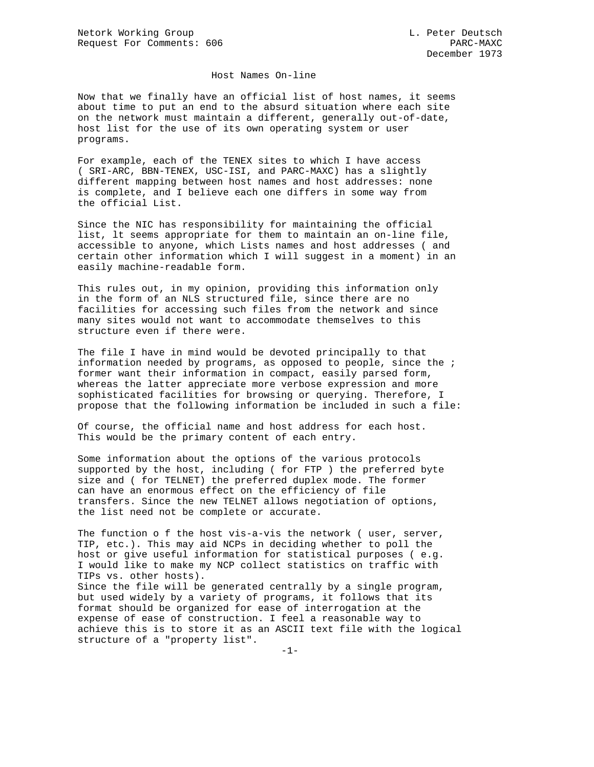## Host Names On-line

Now that we finally have an official list of host names, it seems about time to put an end to the absurd situation where each site on the network must maintain a different, generally out-of-date, host list for the use of its own operating system or user programs.

For example, each of the TENEX sites to which I have access ( SRI-ARC, BBN-TENEX, USC-ISI, and PARC-MAXC) has a slightly different mapping between host names and host addresses: none is complete, and I believe each one differs in some way from the official List.

Since the NIC has responsibility for maintaining the official list, lt seems appropriate for them to maintain an on-line file, accessible to anyone, which Lists names and host addresses ( and certain other information which I will suggest in a moment) in an easily machine-readable form.

This rules out, in my opinion, providing this information only in the form of an NLS structured file, since there are no facilities for accessing such files from the network and since many sites would not want to accommodate themselves to this structure even if there were.

The file I have in mind would be devoted principally to that information needed by programs, as opposed to people, since the ; former want their information in compact, easily parsed form, whereas the latter appreciate more verbose expression and more sophisticated facilities for browsing or querying. Therefore, I propose that the following information be included in such a file:

Of course, the official name and host address for each host. This would be the primary content of each entry.

Some information about the options of the various protocols supported by the host, including ( for FTP ) the preferred byte size and ( for TELNET) the preferred duplex mode. The former can have an enormous effect on the efficiency of file transfers. Since the new TELNET allows negotiation of options, the list need not be complete or accurate.

The function o f the host vis-a-vis the network ( user, server, TIP, etc.). This may aid NCPs in deciding whether to poll the host or give useful information for statistical purposes ( e.g. I would like to make my NCP collect statistics on traffic with TIPs vs. other hosts). Since the file will be generated centrally by a single program, but used widely by a variety of programs, it follows that its format should be organized for ease of interrogation at the expense of ease of construction. I feel a reasonable way to achieve this is to store it as an ASCII text file with the logical structure of a "property list".

 $-1-$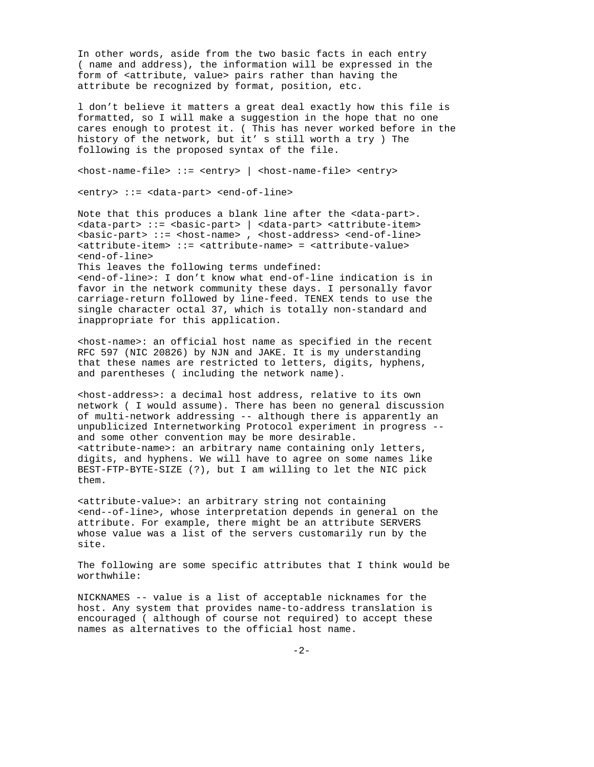In other words, aside from the two basic facts in each entry ( name and address), the information will be expressed in the form of <attribute, value> pairs rather than having the attribute be recognized by format, position, etc.

l don't believe it matters a great deal exactly how this file is formatted, so I will make a suggestion in the hope that no one cares enough to protest it. ( This has never worked before in the history of the network, but it' s still worth a try ) The following is the proposed syntax of the file.

<host-name-file> ::= <entry> | <host-name-file> <entry>

<entry> ::= <data-part> <end-of-line>

Note that this produces a blank line after the <data-part>. <data-part> ::= <basic-part> | <data-part> <attribute-item> <basic-part> ::= <host-name> , <host-address> <end-of-line> <attribute-item> ::= <attribute-name> = <attribute-value> <end-of-line> This leaves the following terms undefined:

<end-of-line>: I don't know what end-of-line indication is in favor in the network community these days. I personally favor carriage-return followed by line-feed. TENEX tends to use the single character octal 37, which is totally non-standard and inappropriate for this application.

<host-name>: an official host name as specified in the recent RFC 597 (NIC 20826) by NJN and JAKE. It is my understanding that these names are restricted to letters, digits, hyphens, and parentheses ( including the network name).

<host-address>: a decimal host address, relative to its own network ( I would assume). There has been no general discussion of multi-network addressing -- although there is apparently an unpublicized Internetworking Protocol experiment in progress - and some other convention may be more desirable. <attribute-name>: an arbitrary name containing only letters, digits, and hyphens. We will have to agree on some names like BEST-FTP-BYTE-SIZE (?), but I am willing to let the NIC pick them.

<attribute-value>: an arbitrary string not containing <end--of-line>, whose interpretation depends in general on the attribute. For example, there might be an attribute SERVERS whose value was a list of the servers customarily run by the site.

The following are some specific attributes that I think would be worthwhile:

NICKNAMES -- value is a list of acceptable nicknames for the host. Any system that provides name-to-address translation is encouraged ( although of course not required) to accept these names as alternatives to the official host name.